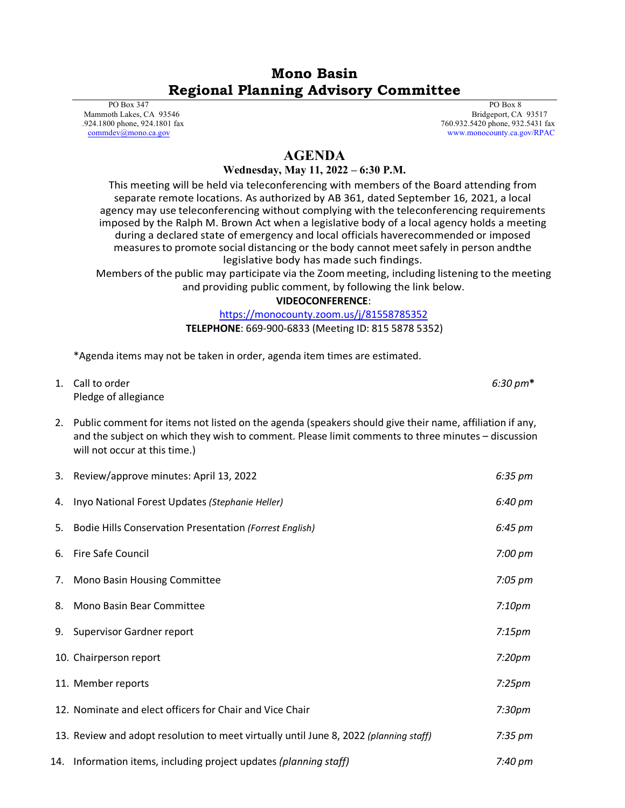## **Mono Basin Regional Planning Advisory Committee**

 PO Box 347 Mammoth Lakes, CA 93546 .924.1800 phone, 924.1801 fax [commdev@mono.ca.gov](mailto:commdev@mono.ca.gov)

 PO Box 8 Bridgeport, CA 93517 760.932.5420 phone, 932.5431 fax www.monocounty.ca.gov/RPAC

## **AGENDA**

## **Wednesday, May 11, 2022 – 6:30 P.M.**

This meeting will be held via teleconferencing with members of the Board attending from separate remote locations. As authorized by AB 361, dated September 16, 2021, a local agency may use teleconferencing without complying with the teleconferencing requirements imposed by the Ralph M. Brown Act when a legislative body of a local agency holds a meeting during a declared state of emergency and local officials haverecommended or imposed measuresto promote social distancing or the body cannot meetsafely in person andthe legislative body has made such findings.

Members of the public may participate via the Zoom meeting, including listening to the meeting and providing public comment, by following the link below.

**VIDEOCONFERENCE**:

## <https://monocounty.zoom.us/j/81558785352>

**TELEPHONE**: 669-900-6833 (Meeting ID: 815 5878 5352)

\*Agenda items may not be taken in order, agenda item times are estimated.

| 1. Call to order     | $6:30 \text{ pm*}$ |
|----------------------|--------------------|
| Pledge of allegiance |                    |

2. Public comment for items not listed on the agenda (speakers should give their name, affiliation if any, and the subject on which they wish to comment. Please limit comments to three minutes – discussion will not occur at this time.)

|    | 3. Review/approve minutes: April 13, 2022                                             | 6:35 pm            |
|----|---------------------------------------------------------------------------------------|--------------------|
| 4. | Inyo National Forest Updates (Stephanie Heller)                                       | 6:40 pm            |
| 5. | <b>Bodie Hills Conservation Presentation (Forrest English)</b>                        | 6:45 pm            |
| 6. | <b>Fire Safe Council</b>                                                              | 7:00 pm            |
|    | 7. Mono Basin Housing Committee                                                       | $7:05 \text{ pm}$  |
|    | 8. Mono Basin Bear Committee                                                          | 7:10 <sub>pm</sub> |
|    | 9. Supervisor Gardner report                                                          | 7:15 <sub>pm</sub> |
|    | 10. Chairperson report                                                                | 7:20 <sub>pm</sub> |
|    | 11. Member reports                                                                    | $7:25$ pm          |
|    | 12. Nominate and elect officers for Chair and Vice Chair                              | 7:30 <sub>pm</sub> |
|    | 13. Review and adopt resolution to meet virtually until June 8, 2022 (planning staff) | $7:35 \text{ pm}$  |
|    | 14. Information items, including project updates (planning staff)                     | 7:40 pm            |